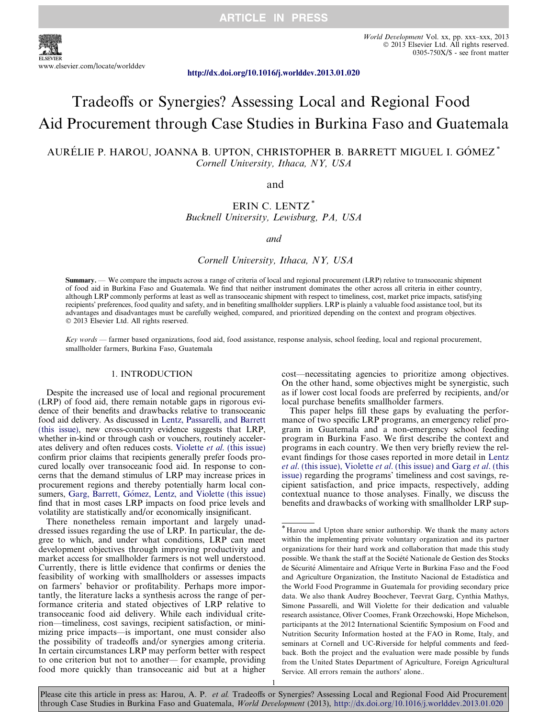

World Development Vol. xx, pp. xxx–xxx, 2013 © 2013 Elsevier Ltd. All rights reserved. 0305-750X/\$ - see front matter

<http://dx.doi.org/10.1016/j.worlddev.2013.01.020>

# Tradeoffs or Synergies? Assessing Local and Regional Food Aid Procurement through Case Studies in Burkina Faso and Guatemala

### AURÉLIE P. HAROU, JOANNA B. UPTON, CHRISTOPHER B. BARRETT MIGUEL I. GÓMEZ<sup>\*</sup> Cornell University, Ithaca, NY, USA

and

## ERIN C. LENTZ<sup>\*</sup> Bucknell University, Lewisburg, PA, USA

and

Cornell University, Ithaca, NY, USA

Summary. — We compare the impacts across a range of criteria of local and regional procurement (LRP) relative to transoceanic shipment of food aid in Burkina Faso and Guatemala. We find that neither instrument dominates the other across all criteria in either country, although LRP commonly performs at least as well as transoceanic shipment with respect to timeliness, cost, market price impacts, satisfying recipients' preferences, food quality and safety, and in benefiting smallholder suppliers. LRP is plainly a valuable food assistance tool, but its advantages and disadvantages must be carefully weighed, compared, and prioritized depending on the context and program objectives. © 2013 Elsevier Ltd. All rights reserved.

 $Key words$  — farmer based organizations, food aid, food assistance, response analysis, school feeding, local and regional procurement, smallholder farmers, Burkina Faso, Guatemala

#### 1. INTRODUCTION

Despite the increased use of local and regional procurement (LRP) of food aid, there remain notable gaps in rigorous evidence of their benefits and drawbacks relative to transoceanic food aid delivery. As discussed in [Lentz, Passarelli, and Barrett](#page--1-0) [\(this issue\),](#page--1-0) new cross-country evidence suggests that LRP, whether in-kind or through cash or vouchers, routinely accelerates delivery and often reduces costs. Violette et al[. \(this issue\)](#page--1-0) confirm prior claims that recipients generally prefer foods procured locally over transoceanic food aid. In response to concerns that the demand stimulus of LRP may increase prices in procurement regions and thereby potentially harm local consumers, Garg, Barrett, Gómez, Lentz, and Violette (this issue) find that in most cases LRP impacts on food price levels and volatility are statistically and/or economically insignificant.

There nonetheless remain important and largely unaddressed issues regarding the use of LRP. In particular, the degree to which, and under what conditions, LRP can meet development objectives through improving productivity and market access for smallholder farmers is not well understood. Currently, there is little evidence that confirms or denies the feasibility of working with smallholders or assesses impacts on farmers' behavior or profitability. Perhaps more importantly, the literature lacks a synthesis across the range of performance criteria and stated objectives of LRP relative to transoceanic food aid delivery. While each individual criterion—timeliness, cost savings, recipient satisfaction, or minimizing price impacts—is important, one must consider also the possibility of tradeoffs and/or synergies among criteria. In certain circumstances LRP may perform better with respect to one criterion but not to another— for example, providing food more quickly than transoceanic aid but at a higher cost—necessitating agencies to prioritize among objectives. On the other hand, some objectives might be synergistic, such as if lower cost local foods are preferred by recipients, and/or local purchase benefits smallholder farmers.

This paper helps fill these gaps by evaluating the performance of two specific LRP programs, an emergency relief program in Guatemala and a non-emergency school feeding program in Burkina Faso. We first describe the context and programs in each country. We then very briefly review the relevant findings for those cases reported in more detail in [Lentz](#page--1-0) et al. (this issue), Violette et al[. \(this issue\) and Garg](#page--1-0) et al. (this [issue\)](#page--1-0) regarding the programs' timeliness and cost savings, recipient satisfaction, and price impacts, respectively, adding contextual nuance to those analyses. Finally, we discuss the benefits and drawbacks of working with smallholder LRP sup-

1 Please cite this article in press as: Harou, A. P. et al. Tradeoffs or Synergies? Assessing Local and Regional Food Aid Procurement through Case Studies in Burkina Faso and Guatemala, World Development (2013), <http://dx.doi.org/10.1016/j.worlddev.2013.01.020>

<sup>\*</sup> Harou and Upton share senior authorship. We thank the many actors within the implementing private voluntary organization and its partner organizations for their hard work and collaboration that made this study possible. We thank the staff at the Société Nationale de Gestion des Stocks de Sécurité Alimentaire and Afrique Verte in Burkina Faso and the Food and Agriculture Organization, the Instituto Nacional de Estadística and the World Food Programme in Guatemala for providing secondary price data. We also thank Audrey Boochever, Teevrat Garg, Cynthia Mathys, Simone Passarelli, and Will Violette for their dedication and valuable research assistance, Oliver Coomes, Frank Orzechowski, Hope Michelson, participants at the 2012 International Scientific Symposium on Food and Nutrition Security Information hosted at the FAO in Rome, Italy, and seminars at Cornell and UC-Riverside for helpful comments and feedback. Both the project and the evaluation were made possible by funds from the United States Department of Agriculture, Foreign Agricultural Service. All errors remain the authors' alone..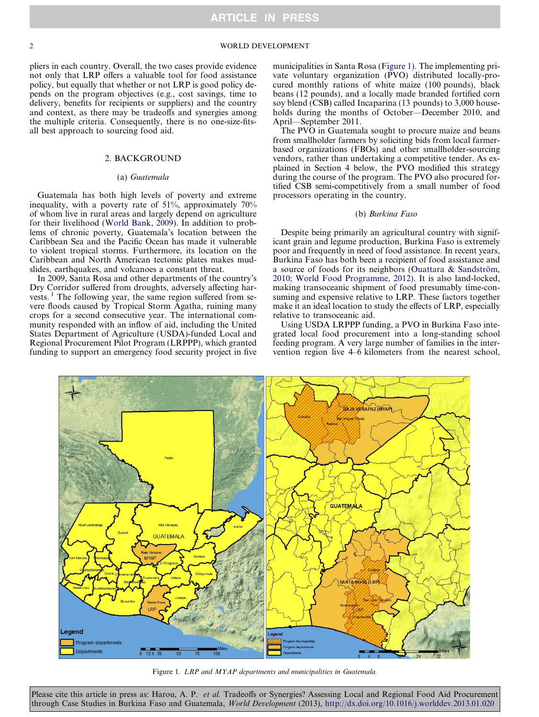#### 2 WORLD DEVELOPMENT

pliers in each country. Overall, the two cases provide evidence not only that LRP offers a valuable tool for food assistance policy, but equally that whether or not LRP is good policy depends on the program objectives (e.g., cost savings, time to delivery, benefits for recipients or suppliers) and the country and context, as there may be tradeoffs and synergies among the multiple criteria. Consequently, there is no one-size-fitsall best approach to sourcing food aid.

#### 2. BACKGROUND

#### (a) Guatemala

Guatemala has both high levels of poverty and extreme inequality, with a poverty rate of 51%, approximately 70% of whom live in rural areas and largely depend on agriculture for their livelihood [\(World Bank, 2009\)](#page--1-0). In addition to problems of chronic poverty, Guatemala's location between the Caribbean Sea and the Pacific Ocean has made it vulnerable to violent tropical storms. Furthermore, its location on the Caribbean and North American tectonic plates makes mudslides, earthquakes, and volcanoes a constant threat.

In 2009, Santa Rosa and other departments of the country's Dry Corridor suffered from droughts, adversely affecting harvests.  $\frac{1}{1}$  The following year, the same region suffered from severe floods caused by Tropical Storm Agatha, ruining many crops for a second consecutive year. The international community responded with an inflow of aid, including the United States Department of Agriculture (USDA)-funded Local and Regional Procurement Pilot Program (LRPPP), which granted funding to support an emergency food security project in five municipalities in Santa Rosa (Figure 1). The implementing private voluntary organization (PVO) distributed locally-procured monthly rations of white maize (100 pounds), black beans (12 pounds), and a locally made branded fortified corn soy blend (CSB) called Incaparina (13 pounds) to 3,000 households during the months of October—December 2010, and April—September 2011.

The PVO in Guatemala sought to procure maize and beans from smallholder farmers by soliciting bids from local farmerbased organizations (FBOs) and other smallholder-sourcing vendors, rather than undertaking a competitive tender. As explained in Section 4 below, the PVO modified this strategy during the course of the program. The PVO also procured fortified CSB semi-competitively from a small number of food processors operating in the country.

#### (b) Burkina Faso

Despite being primarily an agricultural country with significant grain and legume production, Burkina Faso is extremely poor and frequently in need of food assistance. In recent years, Burkina Faso has both been a recipient of food assistance and a source of foods for its neighbors (Ouattara  $\&$  Sandström, [2010; World Food Programme, 2012\)](#page--1-0). It is also land-locked, making transoceanic shipment of food presumably time-consuming and expensive relative to LRP. These factors together make it an ideal location to study the effects of LRP, especially relative to transoceanic aid.

Using USDA LRPPP funding, a PVO in Burkina Faso integrated local food procurement into a long-standing school feeding program. A very large number of families in the intervention region live 4–6 kilometers from the nearest school,



Figure 1. LRP and MYAP departments and municipalities in Guatemala.

Please cite this article in press as: Harou, A. P. et al. Tradeoffs or Synergies? Assessing Local and Regional Food Aid Procurement through Case Studies in Burkina Faso and Guatemala, World Development (2013), <http://dx.doi.org/10.1016/j.worlddev.2013.01.020>